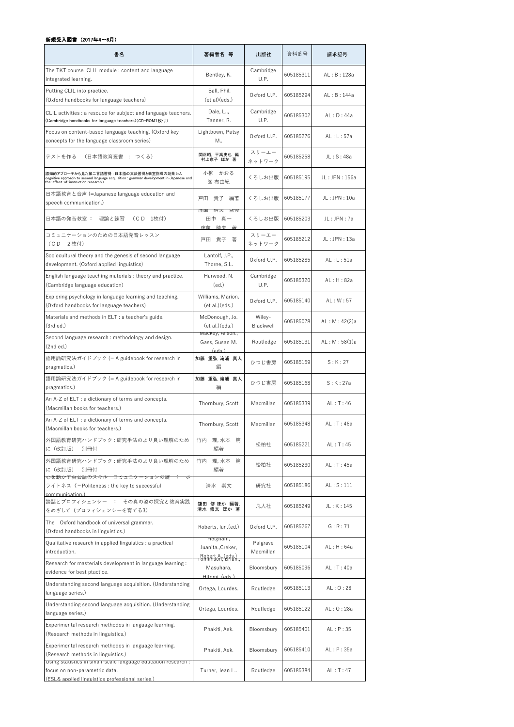| 書名                                                                                                                                                                           | 著編者名 等                                            | 出版社                   | 資料番号      | 請求記号            |
|------------------------------------------------------------------------------------------------------------------------------------------------------------------------------|---------------------------------------------------|-----------------------|-----------|-----------------|
| The TKT course CLIL module : content and language<br>integrated learning.                                                                                                    | Bentley, K.                                       | Cambridge<br>U.P.     | 605185311 | AL: B: 128a     |
| Putting CLIL into practice.<br>(Oxford handbooks for language teachers)                                                                                                      | Ball, Phil.<br>(et al)(eds.)                      | Oxford U.P.           | 605185294 | AL: B: 144a     |
| CLIL activities : a resouce for subject and language teachers.<br>(Cambridge handbooks for language teachers)(CD-ROM1枚付)                                                     | Dale, L,<br>Tanner, R.                            | Cambridge<br>U.P.     | 605185302 | AL: D: 44a      |
| Focus on content-based language teaching. (Oxford key<br>concepts for the language classroom series)                                                                         | Lightbown, Patsy<br>Μ.,                           | Oxford U.P.           | 605185276 | AL: L: 57a      |
| (日本語教育叢書 : つくる)<br>テストを作る                                                                                                                                                    | 関正昭, 平高史也 編<br>村上京子 ほか 著                          | スリーエー<br>ネットワーク       | 605185258 | JL: S: 48a      |
| 認知的アプローチから見た第二言語習得 : 日本語の文法習得と教室指導の効果 (=A<br>cognitive approach to second language acquisition : grammar development in Japanese and<br>the-effect-of-instruction research.) | 小柳 かおる<br>峯 布由紀                                   | くろしお出版                | 605185195 | JL: JPN: 156a   |
| 日本語教育と音声 (=Japanese language education and<br>speech communication.)                                                                                                         | 戸田 貴子<br>編著                                       | くろしお出版                | 605185177 | JL: JPN: 10a    |
| 日本語の発音教室 : 理論と練習<br>(CD 1枚付)                                                                                                                                                 | 洼園 啊大 監修<br>田中真一<br>窪蘭<br>晴夫 著                    | くろしお出版                | 605185203 | JL: JPN: 7a     |
| コミュニケーションのための日本語発音レッスン<br>(CD 2枚付)                                                                                                                                           | 戸田 貴子 著                                           | スリーエー<br>ネットワーク       | 605185212 | JL: JPN: 13a    |
| Sociocultural theory and the genesis of second language<br>development. (Oxford applied linguistics)                                                                         | Lantolf, J.P.,<br>Thorne, S.L.                    | Oxford U.P.           | 605185285 | AL: L: 51a      |
| English language teaching materials : theory and practice.<br>(Cambridge language education)                                                                                 | Harwood, N.<br>(ed.)                              | Cambridge<br>U.P.     | 605185320 | AL: H: 82a      |
| Exploring psychology in language learning and teaching.<br>(Oxford handbooks for language teachers)                                                                          | Williams, Marion.<br>ect al.)(eds.)               | Oxford U.P.           | 605185140 | AL: W: 57       |
| Materials and methods in ELT : a teacher's guide.<br>(3rd ed.)                                                                                                               | McDonough, Jo.<br>ect al.)(eds.)                  | Wiley-<br>Blackwell   | 605185078 | AL : M : 42(2)a |
| Second language research : methodology and design.<br>(2nd ed.)                                                                                                              | Mackey, Alison.,<br>Gass, Susan M.<br>$($ sha $)$ | Routledge             | 605185131 | AL: M: 58(1)a   |
| 語用論研究法ガイドブック (= A guidebook for research in<br>pragmatics.)                                                                                                                  | 加藤 重弘, 滝浦 真人<br>編                                 | ひつじ書房                 | 605185159 | S:K:27          |
| 語用論研究法ガイドブック (= A guidebook for research in<br>pragmatics.)                                                                                                                  | 加藤 重弘, 滝浦 真人<br>編                                 | ひつじ書房                 | 605185168 | S:K:27a         |
| An A-Z of ELT : a dictionary of terms and concepts.<br>(Macmillan books for teachers.)                                                                                       | Thornbury, Scott                                  | Macmillan             | 605185339 | AL: T: 46       |
| An A-Z of ELT : a dictionary of terms and concepts.<br>(Macmillan books for teachers.)                                                                                       | Thornbury, Scott                                  | Macmillan             | 605185348 | AL:T:46a        |
| 外国語教育研究ハンドブック : 研究手法のより良い理解のため<br>に(改訂版)<br>別冊付                                                                                                                              | 竹内<br>理,水本 篤<br>編著                                | 松柏社                   | 605185221 | AL: T: 45       |
| 外国語教育研究ハンドブック : 研究手法のより良い理解のため<br>に(改訂版)<br>別冊付                                                                                                                              | 理,水本 篤<br>竹内<br>編著                                | 松柏社                   | 605185230 | AL: T: 45a      |
| 心を動かす央云話のスキル コミュニケーションの鍵 ・ 小<br>ライトネス (=Politeness : the key to successful<br>communication)                                                                                 | 清水 崇文                                             | 研究社                   | 605185186 | AL: S: 111      |
| 談話とプロフィシェンシー : その真の姿の探究と教育実践<br>をめざして(プロフィシェンシーを育てる3)                                                                                                                        | 鎌田 修 ほか 編著.<br>清水 崇文 ほか 著                         | 凡人社                   | 605185249 | JL: K: 145      |
| The Oxford handbook of universal grammar.<br>(Oxford handbooks in linguistics.)                                                                                              | Roberts, Ian.(ed.)                                | Oxford U.P.           | 605185267 | G:R:71          |
| Qualitative research in applied linguistics : a practical<br>introduction.                                                                                                   | Heignam,<br>Juanita., Creker,                     | Palgrave<br>Macmillan | 605185104 | AL : H : 64a    |
| Research for masterials development in language learning :<br>evidence for best ptactice.                                                                                    | Bohert A. (eds.)<br>Masuhara,<br>Hitomi(eds.)     | Bloomsbury            | 605185096 | AL:T:40a        |
| Understanding second language acquisition. (Understanding<br>language series.)                                                                                               | Ortega, Lourdes.                                  | Routledge             | 605185113 | AL: 0: 28       |
| Understanding second language acquisition. (Understanding<br>language series.)                                                                                               | Ortega, Lourdes.                                  | Routledge             | 605185122 | AL:O:28a        |
| Experimental research methodos in language learning.<br>(Research methods in linguistics.)                                                                                   | Phakiti, Aek.                                     | Bloomsbury            | 605185401 | AL: P: 35       |
| Experimental research methodos in language learning.<br>(Research methods in linguistics.)                                                                                   | Phakiti, Aek.                                     | Bloomsbury            | 605185410 | AL: P: 35a      |
| Using statistics in small-scale language education research :<br>focus on non-parametric data.<br>(ESL& applied linguistics professional series.)                            | Turner, Jean L                                    | Routledge             | 605185384 | AL: T: 47       |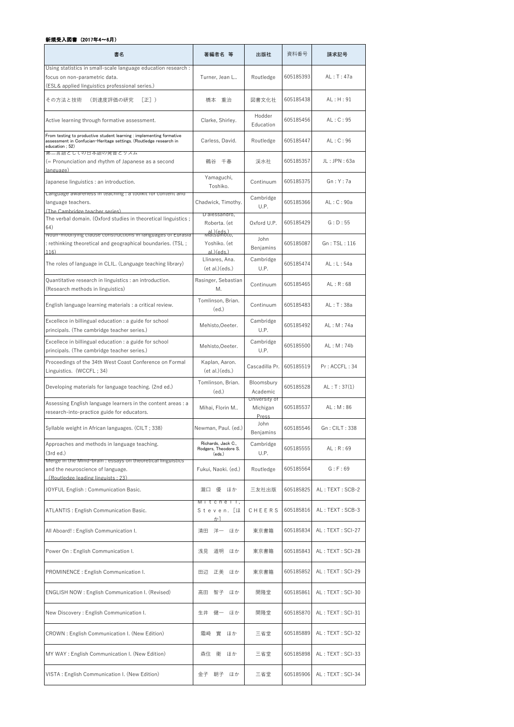| 書名                                                                                                                                                           | 著編者名 等                                                     | 出版社                                | 資料番号      | 請求記号             |
|--------------------------------------------------------------------------------------------------------------------------------------------------------------|------------------------------------------------------------|------------------------------------|-----------|------------------|
| Using statistics in small-scale language education research :<br>focus on non-parametric data.                                                               | Turner, Jean L                                             | Routledge                          | 605185393 | AL:T:47a         |
| (ESL& applied linguistics professional series.)<br>その方法と技術<br>(到達度評価の研究<br>$[E]$ )                                                                           | 橋本 重治                                                      | 図書文化社                              | 605185438 | AL : H : 91      |
| Active learning through formative assessment.                                                                                                                | Clarke, Shirley.                                           | Hodder<br>Education                | 605185456 | AL: C: 95        |
| From testing to productive student learning : implementing formative<br>assessment in Confucian-Heritage settings. (Routledge research in<br>education : 52) | Carless, David.                                            | Routledge                          | 605185447 | AL: C: 96        |
| 弟二言誥としての日本誥の発首とリスム<br>(= Pronunciation and rhythm of Japanese as a second<br>$lang_{\text{I}age}$                                                            | 鶴谷 千春                                                      | 渓水社                                | 605185357 | JL: JPN: 63a     |
| Japanese linguistics : an introduction.                                                                                                                      | Yamaguchi,<br>Toshiko.                                     | Continuum                          | 605185375 | Gn:Y:7a          |
| Language awareness in teaching : a toolkit for content and<br>language teachers.<br>(The Cambridge teacher series)                                           | Chadwick, Timothy.                                         | Cambridge<br>U.P.                  | 605185366 | AL: C: 90a       |
| The verbal domain. (Oxford studies in theoretical linguistics ;<br>64)                                                                                       | D'alessandro,<br>Roberta. (et<br>al.) (eds.)<br>watsumoto, | Oxford U.P.                        | 605185429 | G: D: 55         |
| ivoun-modifying clause constructions in languages of Eurasia<br>: rethinking theoretical and geographical boundaries. (TSL;<br>116)                          | Yoshiko. (et<br>al)(eds)                                   | John<br>Benjamins                  | 605185087 | Gn: TSL: 116     |
| The roles of language in CLIL. (Language teaching library)                                                                                                   | Llinares, Ana.<br>ect al.)(eds.)                           | Cambridge<br>U.P.                  | 605185474 | AL: L: 54a       |
| Quantitative research in linguistics : an introduction.<br>(Research methods in linguistics)                                                                 | Rasinger, Sebastian<br>Μ.                                  | Continuum                          | 605185465 | AL: R: 68        |
| English language learning materials : a critical review.                                                                                                     | Tomlinson, Brian.<br>(ed.)                                 | Continuum                          | 605185483 | AL: T: 38a       |
| Excellece in billingual education : a guide for school<br>principals. (The cambridge teacher series.)                                                        | Mehisto, Oeeter.                                           | Cambridge<br>U.P.                  | 605185492 | AL: M: 74a       |
| Excellece in billingual education : a guide for school<br>principals. (The cambridge teacher series.)                                                        | Mehisto, Oeeter.                                           | Cambridge<br>U.P.                  | 605185500 | AL: M: 74b       |
| Proceedings of the 34th West Coast Conference on Formal<br>Linguistics. (WCCFL; 34)                                                                          | Kaplan, Aaron.<br>ect al.)(eds.)                           | Cascadilla Pr.                     | 605185519 | Pr: ACCFL: 34    |
| Developing materials for language teaching. (2nd ed.)                                                                                                        | Tomlinson, Brian.<br>(ed.)                                 | Bloomsbury<br>Academic             | 605185528 | AL: T: 37(1)     |
| Assessing English language learners in the content areas : a<br>research-into-practice guide for educators.                                                  | Mihai, Florin M                                            | University of<br>Michigan<br>Press | 605185537 | AL: M: 86        |
| Syllable weight in African languages. (CILT; 338)                                                                                                            | Newman, Paul. (ed.)                                        | John<br>Benjamins                  | 605185546 | Gn: CILT: 338    |
| Approaches and methods in language teaching.<br>(3rd ed.)                                                                                                    | Richards, Jack C.,<br>Rodgers, Theodore S.<br>(eds.)       | Cambridge<br>U.P.                  | 605185555 | AL: R: 69        |
| ivierge in the ivilna-prain : essays on theoretical linguistics<br>and the neuroscience of language.<br>(Routledge leading linguists . 23)                   | Fukui, Naoki. (ed.)                                        | Routledge                          | 605185564 | G: F: 69         |
| JOYFUL English : Communication Basic.                                                                                                                        | 瀧口 優 ほか                                                    | 三友社出版                              | 605185825 | AL: TEXT: SCB-2  |
| ATLANTIS: English Communication Basic.                                                                                                                       | Mitchell,<br>Steven. [ほ<br>ゕヿ                              | CHEERS                             | 605185816 | AL: TEXT: SCB-3  |
| All Aboard!: English Communication I.                                                                                                                        | 洋一 ほか<br>清田                                                | 東京書籍                               | 605185834 | AL: TEXT: SCI-27 |
| Power On : English Communication I.                                                                                                                          | 浅見 道明<br>ほか                                                | 東京書籍                               | 605185843 | AL: TEXT: SCI-28 |
| PROMINENCE : English Communication I.                                                                                                                        | 田辺 正美 ほか                                                   | 東京書籍                               | 605185852 | AL: TEXT: SCI-29 |
| <b>ENGLISH NOW: English Communication I. (Revised)</b>                                                                                                       | 智子<br>高田<br>ほか                                             | 開隆堂                                | 605185861 | AL: TEXT: SCI-30 |
| New Discovery: English Communication I.                                                                                                                      | 生井 健一<br>ほか                                                | 開隆堂                                | 605185870 | AL: TEXT: SCI-31 |
| CROWN : English Communication I. (New Edition)                                                                                                               | 實<br>霜崎<br>ほか                                              | 三省堂                                | 605185889 | AL: TEXT: SCI-32 |
| MY WAY: English Communication I. (New Edition)                                                                                                               | 衛<br>森住<br>ほか                                              | 三省堂                                | 605185898 | AL: TEXT: SCI-33 |
| VISTA: English Communication I. (New Edition)                                                                                                                | 金子<br>朝子<br>ほか                                             | 三省堂                                | 605185906 | AL: TEXT: SCI-34 |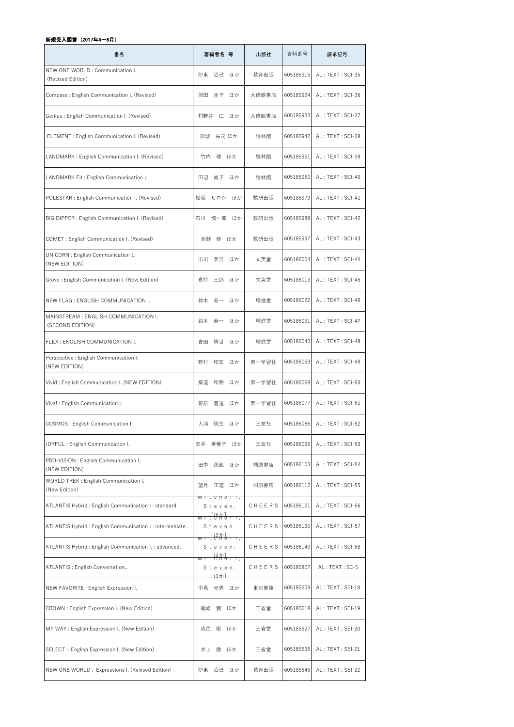| 書名                                                        | 著編者名 等                                                                                                                                                                                                                                                                                                                                                                                                                                                                                           | 出版社    | 資料番号      | 請求記号             |
|-----------------------------------------------------------|--------------------------------------------------------------------------------------------------------------------------------------------------------------------------------------------------------------------------------------------------------------------------------------------------------------------------------------------------------------------------------------------------------------------------------------------------------------------------------------------------|--------|-----------|------------------|
| NEW ONE WORLD : Communication I.<br>(Revised Edition)     | 伊東 治己 ほか                                                                                                                                                                                                                                                                                                                                                                                                                                                                                         | 教育出版   | 605185915 | AL: TEXT: SCI-35 |
| Compass: English Communication I. (Revised)               | 岡田 圭子 ほか                                                                                                                                                                                                                                                                                                                                                                                                                                                                                         | 大修館書店  | 605185924 | AL: TEXT: SCI-36 |
| Genius: English Communication I. (Revised)                | 村野井 仁 ほか                                                                                                                                                                                                                                                                                                                                                                                                                                                                                         | 大修館書店  | 605185933 | AL: TEXT: SCI-37 |
| ELEMENT : English Communication I. (Revised)              | 卯城 祐司 ほか                                                                                                                                                                                                                                                                                                                                                                                                                                                                                         | 啓林館    | 605185942 | AL: TEXT: SCI-38 |
| LANDMARK: English Communication I. (Revised)              | 理<br>竹内<br>ほか                                                                                                                                                                                                                                                                                                                                                                                                                                                                                    | 啓林館    | 605185951 | AL: TEXT: SCI-39 |
| LANDMARK Fit: English Communication I.                    | 田辺 尚子 ほか                                                                                                                                                                                                                                                                                                                                                                                                                                                                                         | 啓林館    | 605185960 | AL: TEXT: SCI-40 |
| POLESTAR : English Communication I. (Revised)             | 松坂<br>ヒロシ ほか                                                                                                                                                                                                                                                                                                                                                                                                                                                                                     | 数研出版   | 605185979 | AL: TEXT: SCI-41 |
| BIG DIPPER : English Communication I. (Revised)           | 石川 慎一郎 ほか                                                                                                                                                                                                                                                                                                                                                                                                                                                                                        | 数研出版   | 605185988 | AL: TEXT: SCI-42 |
| COMET: English Communication I. (Revised)                 | 池野<br>修<br>ほか                                                                                                                                                                                                                                                                                                                                                                                                                                                                                    | 数研出版   | 605185997 | AL: TEXT: SCI-43 |
| UNICORN : English Communication 1.<br>(NEW EDITION)       | 泰男<br>市川<br>ほか                                                                                                                                                                                                                                                                                                                                                                                                                                                                                   | 文英堂    | 605186004 | AL: TEXT: SCI-44 |
| Grove: English Communication I. (New Edition)             | 三郎<br>倉持<br>ほか                                                                                                                                                                                                                                                                                                                                                                                                                                                                                   | 文英堂    | 605186013 | AL: TEXT: SCI-45 |
| NEW FLAG : ENGLISH COMMUNICATION I.                       | 鈴木 寿一 ほか                                                                                                                                                                                                                                                                                                                                                                                                                                                                                         | 増進堂    | 605186022 | AL: TEXT: SCI-46 |
| MAINSTREAM : ENGLISH COMMUNICATION I.<br>(SECOND EDITION) | 鈴木 寿一<br>ほか                                                                                                                                                                                                                                                                                                                                                                                                                                                                                      | 増進堂    | 605186031 | AL: TEXT: SCI-47 |
| FLEX : ENGLISH COMMUNICATION I.                           | 晴世 ほか<br>吉田                                                                                                                                                                                                                                                                                                                                                                                                                                                                                      | 増進堂    | 605186040 | AL: TEXT: SCI-48 |
| Perspective : English Communication I.<br>(NEW EDITION)   | 野村<br>和宏<br>ほか                                                                                                                                                                                                                                                                                                                                                                                                                                                                                   | 第一学習社  | 605186059 | AL: TEXT: SCI-49 |
| Vivid: English Communication I. (NEW EDITION)             | 和明<br>築道<br>ほか                                                                                                                                                                                                                                                                                                                                                                                                                                                                                   | 第一学習社  | 605186068 | AL: TEXT: SCI-50 |
| Viva! : English Communication I.                          | 笹原<br>豊造<br>ほか                                                                                                                                                                                                                                                                                                                                                                                                                                                                                   | 第一学習社  | 605186077 | AL: TEXT: SCI-51 |
| COSMOS : English Communication I.                         | 大浦<br>暁生<br>ほか                                                                                                                                                                                                                                                                                                                                                                                                                                                                                   | 三友社    | 605186086 | AL: TEXT: SCI-52 |
| JOYFUL: English Communication I.                          | 室井<br>美稚子<br>ほか                                                                                                                                                                                                                                                                                                                                                                                                                                                                                  | 三友社    | 605186095 | AL: TEXT: SCI-53 |
| PRO-VISION : English Communication I.<br>(NEW EDITION)    | 田中 茂範 ほか                                                                                                                                                                                                                                                                                                                                                                                                                                                                                         | 桐原書店   | 605186103 | AL: TEXT: SCI-54 |
| WORLD TREK : English Communication I.<br>(New Edition)    | 望月<br>正道 ほか                                                                                                                                                                                                                                                                                                                                                                                                                                                                                      | 桐原書店   | 605186112 | AL: TEXT: SCI-55 |
| ATLANTIS Hybrid : English Communication I : standard.     | <u>ivit cheff</u> ,<br>Steven.<br>$\frac{\lceil \lfloor \frac{1}{2} \pi \rfloor}{\lceil \frac{1}{2} \pi \rceil + \lceil \frac{1}{2} \pi \rceil + \lceil \frac{1}{2} \pi \rceil + \lceil \frac{1}{2} \pi \rceil + \lceil \frac{1}{2} \pi \rceil + \lceil \frac{1}{2} \pi \rceil + \lceil \frac{1}{2} \pi \rceil + \lceil \frac{1}{2} \pi \rceil + \lceil \frac{1}{2} \pi \rceil + \lceil \frac{1}{2} \pi \rceil + \lceil \frac{1}{2} \pi \rceil + \lceil \frac{1}{2} \pi \rceil + \lceil \frac{1$ | CHEERS | 605186121 | AL: TEXT: SCI-56 |
| ATLANTIS Hybrid : English Communication I : intermediate. | IVI I<br>Steven.<br>$\frac{[i\pi\pi]}{[i\pi\pi]}$                                                                                                                                                                                                                                                                                                                                                                                                                                                | CHEERS | 605186130 | AL: TEXT: SCI-57 |
| ATLANTIS Hybrid : English Communication I. : advanced.    | IVI I<br>Steven.<br>$\frac{\lceil l \mp \gamma \rceil}{t \text{ c } h \text{ e } 1 + \gamma}$                                                                                                                                                                                                                                                                                                                                                                                                    | CHEERS | 605186149 | AL: TEXT: SCI-58 |
| ATLANTIS : English Conversation                           | IVI I<br>Steven.<br>「ほか】                                                                                                                                                                                                                                                                                                                                                                                                                                                                         | CHEERS | 605185807 | AL: TEXT: SC-5   |
| NEW FAVORITE : English Expression I.                      | 中邑 光男 ほか                                                                                                                                                                                                                                                                                                                                                                                                                                                                                         | 東京書籍   | 605185609 | AL: TEXT: SEI-18 |
| CROWN : English Expression I. (New Edition)               | 霜崎<br>實<br>ほか                                                                                                                                                                                                                                                                                                                                                                                                                                                                                    | 三省堂    | 605185618 | AL: TEXT: SEI-19 |
| MY WAY : English Expression I. (New Edition)              | 森住 衛<br>ほか                                                                                                                                                                                                                                                                                                                                                                                                                                                                                       | 三省堂    | 605185627 | AL: TEXT: SEI-20 |
| SELECT: English Expression I. (New Edition)               | 井上 徹<br>ほか                                                                                                                                                                                                                                                                                                                                                                                                                                                                                       | 三省堂    | 605185636 | AL: TEXT: SEI-21 |
| NEW ONE WORLD: Expressions I. (Revised Edition)           | 伊東 治己 ほか                                                                                                                                                                                                                                                                                                                                                                                                                                                                                         | 教育出版   | 605185645 | AL: TEXT: SEI-22 |